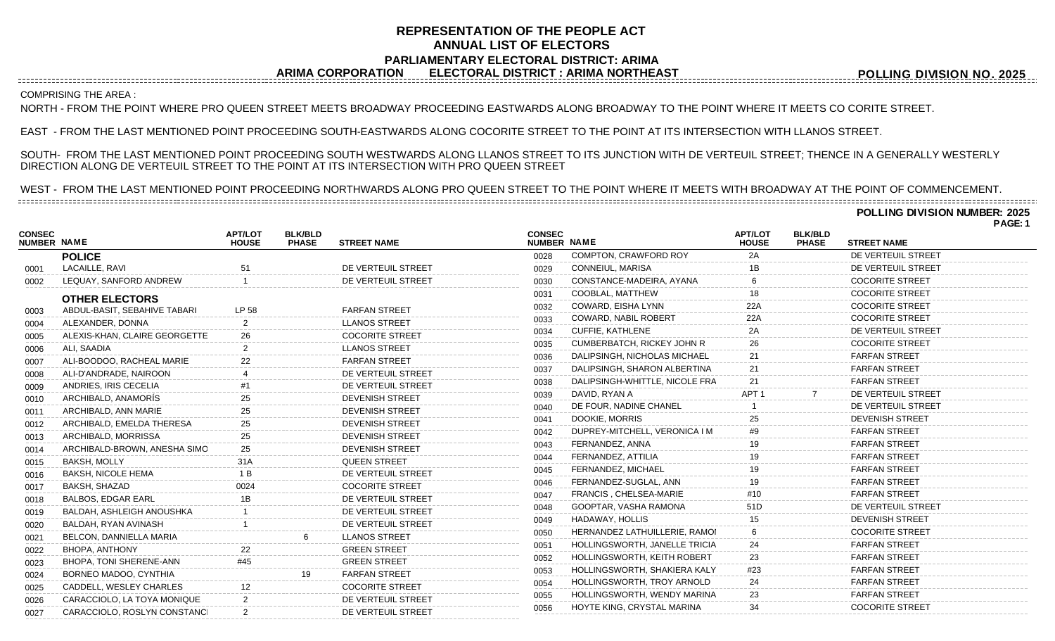## **REPRESENTATION OF THE PEOPLE ACT ANNUAL LIST OF ELECTORS PARLIAMENTARY ELECTORAL DISTRICT: ARIMA ARIMA CORPORATION ELECTORAL DISTRICT : ARIMA NORTHEAST**

**POLLING DIVISION NO. 2025**

**POLLING DIVISION NUMBER: 2025**

**PAGE: 1**

## COMPRISING THE AREA :

NORTH - FROM THE POINT WHERE PRO QUEEN STREET MEETS BROADWAY PROCEEDING EASTWARDS ALONG BROADWAY TO THE POINT WHERE IT MEETS CO CORITE STREET.

EAST - FROM THE LAST MENTIONED POINT PROCEEDING SOUTH-EASTWARDS ALONG COCORITE STREET TO THE POINT AT ITS INTERSECTION WITH LLANOS STREET.

SOUTH- FROM THE LAST MENTIONED POINT PROCEEDING SOUTH WESTWARDS ALONG LLANOS STREET TO ITS JUNCTION WITH DE VERTEUIL STREET; THENCE IN A GENERALLY WESTERLY DIRECTION ALONG DE VERTEUIL STREET TO THE POINT AT ITS INTERSECTION WITH PRO QUEEN STREET

WEST - FROM THE LAST MENTIONED POINT PROCEEDING NORTHWARDS ALONG PRO QUEEN STREET TO THE POINT WHERE IT MEETS WITH BROADWAY AT THE POINT OF COMMENCEMENT.

| <b>CONSEC</b><br>NUMBER NAME |                               | <b>APT/LOT</b><br><b>HOUSE</b> | <b>BLK/BLD</b><br><b>PHASE</b> | <b>STREET NAME</b>     | <b>CONSEC</b><br>NUMBER NAME |                                   | <b>APT/LOT</b><br><b>HOUSE</b> | <b>BLK/BLD</b><br><b>PHASE</b> | <b>STREET NAME</b>     |  |
|------------------------------|-------------------------------|--------------------------------|--------------------------------|------------------------|------------------------------|-----------------------------------|--------------------------------|--------------------------------|------------------------|--|
|                              | <b>POLICE</b>                 |                                |                                |                        | 0028                         | COMPTON, CRAWFORD ROY             | 2A                             |                                | DE VERTEUIL STREET     |  |
| 0001                         | LACAILLE, RAVI                | 51                             |                                | DE VERTEUIL STREET     | 0029                         | CONNEIUL, MARISA                  | 1Β                             |                                | DE VERTEUIL STREET     |  |
| 0002                         | LEQUAY, SANFORD ANDREW        |                                |                                | DE VERTEUIL STREET     | 0030                         | CONSTANCE-MADEIRA, AYANA          | 6                              |                                | <b>COCORITE STREET</b> |  |
|                              | <b>OTHER ELECTORS</b>         |                                |                                |                        | 0031                         | COOBLAL, MATTHEW                  | 18                             |                                | <b>COCORITE STREET</b> |  |
| 0003                         | ABDUL-BASIT, SEBAHIVE TABARI  | LP 58                          |                                | <b>FARFAN STREET</b>   | 0032                         | COWARD, EISHA LYNN                | 22A                            |                                | <b>COCORITE STREET</b> |  |
| 0004                         | ALEXANDER, DONNA              |                                |                                | <b>LLANOS STREET</b>   | 0033                         | <b>COWARD, NABIL ROBERT</b>       | 22A                            |                                | <b>COCORITE STREET</b> |  |
| 0005                         | ALEXIS-KHAN, CLAIRE GEORGETTE | 26                             |                                | <b>COCORITE STREET</b> | 0034                         | <b>CUFFIE, KATHLENE</b>           | 2Α                             |                                | DE VERTEUIL STREET     |  |
| 0006                         | ALI, SAADIA                   |                                |                                | <b>LLANOS STREET</b>   | 0035                         | <b>CUMBERBATCH, RICKEY JOHN R</b> | 26                             |                                | <b>COCORITE STREET</b> |  |
| 0007                         | ALI-BOODOO, RACHEAL MARIE     | 22                             |                                | <b>FARFAN STREET</b>   | 0036                         | DALIPSINGH, NICHOLAS MICHAEL      | 21                             |                                | <b>FARFAN STREET</b>   |  |
| 0008                         | ALI-D'ANDRADE, NAIROON        |                                |                                | DE VERTEUIL STREET     | 0037                         | DALIPSINGH, SHARON ALBERTINA      | 21                             |                                | <b>FARFAN STREET</b>   |  |
| 0009                         | ANDRIES, IRIS CECELIA         |                                |                                | DE VERTEUIL STREET     | 0038                         | DALIPSINGH-WHITTLE, NICOLE FRA    | 21                             |                                | <b>FARFAN STREET</b>   |  |
| 0010                         | ARCHIBALD, ANAMORÍS           |                                |                                | <b>DEVENISH STREET</b> | 0039                         | DAVID, RYAN A                     | APT <sub>1</sub>               |                                | DE VERTEUIL STREET     |  |
| 0011                         | ARCHIBALD, ANN MARIE          |                                |                                | <b>DEVENISH STREET</b> | 0040                         | DE FOUR, NADINE CHANEL            |                                |                                | DE VERTEUIL STREET     |  |
| 0012                         | ARCHIBALD, EMELDA THERESA     | 25                             |                                | <b>DEVENISH STREET</b> | 0041                         | DOOKIE, MORRIS                    | 25                             |                                | <b>DEVENISH STREET</b> |  |
| 0013                         | ARCHIBALD, MORRISSA           | 25                             |                                | <b>DEVENISH STREET</b> | 0042                         | DUPREY-MITCHELL, VERONICA I M     | #9                             |                                | <b>FARFAN STREET</b>   |  |
| 0014                         | ARCHIBALD-BROWN, ANESHA SIMO  | 25                             |                                | <b>DEVENISH STREET</b> | 0043                         | FERNANDEZ, ANNA                   | 19                             |                                | <b>FARFAN STREET</b>   |  |
| 0015                         | BAKSH, MOLLY                  | 31 A                           |                                | <b>QUEEN STREET</b>    | 0044                         | FERNANDEZ, ATTILIA                |                                |                                | <b>FARFAN STREET</b>   |  |
| 0016                         | <b>BAKSH, NICOLE HEMA</b>     | 1 B                            |                                | DE VERTEUIL STREET     | 0045                         | FERNANDEZ, MICHAEL                | 19                             |                                | <b>FARFAN STREET</b>   |  |
| 0017                         | BAKSH, SHAZAD                 | 0024                           |                                | <b>COCORITE STREET</b> | 0046                         | FERNANDEZ-SUGLAL, ANN             | 19                             |                                | <b>FARFAN STREET</b>   |  |
| 0018                         | BALBOS, EDGAR EARL            | 1Β                             |                                | DE VERTEUIL STREET     | 0047                         | <b>FRANCIS, CHELSEA-MARIE</b>     | #10                            |                                | <b>FARFAN STREET</b>   |  |
| 0019                         | BALDAH, ASHLEIGH ANOUSHKA     |                                |                                | DE VERTEUIL STREET     | 0048                         | GOOPTAR, VASHA RAMONA             | 51D                            |                                | DE VERTEUIL STREET     |  |
| 0020                         | BALDAH, RYAN AVINASH          |                                |                                | DE VERTEUIL STREET     | 0049                         | HADAWAY, HOLLIS                   |                                |                                | <b>DEVENISH STREET</b> |  |
| 0021                         | BELCON, DANNIELLA MARIA       |                                |                                | <b>LLANOS STREET</b>   | 0050                         | HERNANDEZ LATHUILLERIE, RAMOI     |                                |                                | <b>COCORITE STREET</b> |  |
| 0022                         | BHOPA, ANTHONY                |                                |                                | <b>GREEN STREET</b>    | 0051                         | HOLLINGSWORTH, JANELLE TRICIA     | 24                             |                                | <b>FARFAN STREET</b>   |  |
| 0023                         | BHOPA, TONI SHERENE-ANN       | #45                            |                                | <b>GREEN STREET</b>    | 0052                         | HOLLINGSWORTH, KEITH ROBERT       | 23                             |                                | <b>FARFAN STREET</b>   |  |
| 0024                         | BORNEO MADOO, CYNTHIA         |                                | 19                             | <b>FARFAN STREET</b>   | 0053                         | HOLLINGSWORTH, SHAKIERA KALY      | #23                            |                                | <b>FARFAN STREET</b>   |  |
| 0025                         | CADDELL, WESLEY CHARLES       |                                |                                | <b>COCORITE STREET</b> | 0054                         | HOLLINGSWORTH, TROY ARNOLD        | 24                             |                                | <b>FARFAN STREET</b>   |  |
| 0026                         | CARACCIOLO, LA TOYA MONIQUE   |                                |                                | DE VERTEUIL STREET     | 0055                         | HOLLINGSWORTH, WENDY MARINA       | 23                             |                                | <b>FARFAN STREET</b>   |  |
| 0027                         | CARACCIOLO, ROSLYN CONSTANCI  |                                |                                | DE VERTEUIL STREET     | 0056                         | HOYTE KING, CRYSTAL MARINA        | 34                             |                                | <b>COCORITE STREET</b> |  |
|                              |                               |                                |                                |                        |                              |                                   |                                |                                |                        |  |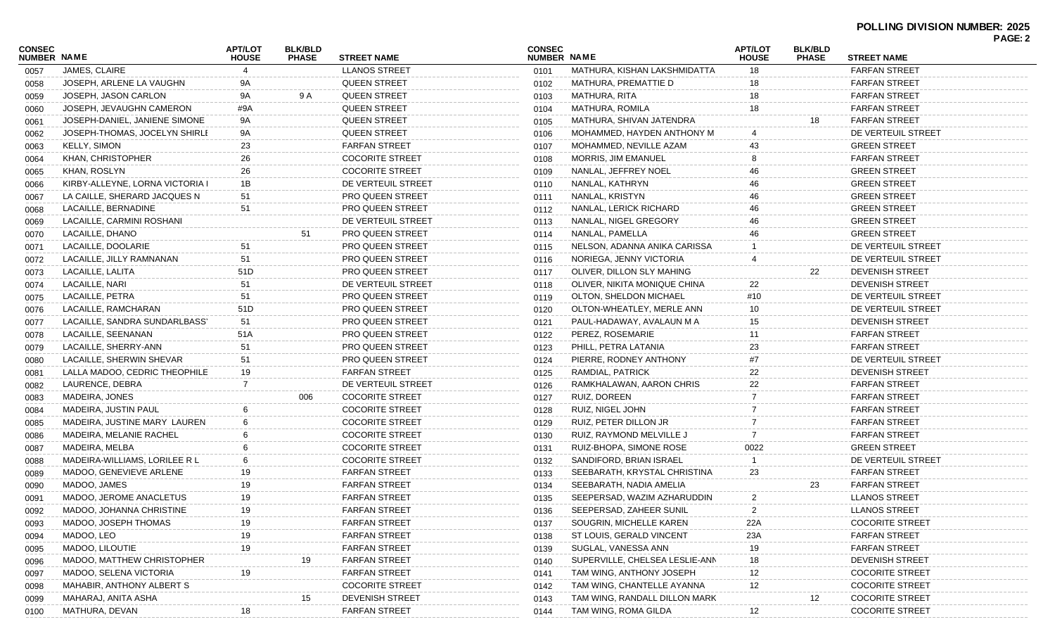| CONSEC             |                                 | <b>APT/LOT</b> | <b>BLK/BLD</b> |                         | <b>CONSEC</b>      |                                                       | <b>APT/LOT</b> | <b>BLK/BLD</b> |                        | <b>PAGE: 2</b> |
|--------------------|---------------------------------|----------------|----------------|-------------------------|--------------------|-------------------------------------------------------|----------------|----------------|------------------------|----------------|
| <b>NUMBER NAME</b> |                                 | <b>HOUSE</b>   | <b>PHASE</b>   | <b>STREET NAME</b>      | <b>NUMBER NAME</b> |                                                       | <b>HOUSE</b>   | <b>PHASE</b>   | <b>STREET NAME</b>     |                |
| 0057               | JAMES, CLAIRE                   |                |                | <b>LLANOS STREET</b>    | 0101               | MATHURA, KISHAN LAKSHMIDATTA                          | 18             |                | <b>FARFAN STREET</b>   |                |
| 0058               | JOSEPH, ARLENE LA VAUGHN        | 9A             |                | <b>QUEEN STREET</b>     | 0102               | MATHURA, PREMATTIE D                                  | 18             |                | <b>FARFAN STREET</b>   |                |
| 0059               | JOSEPH, JASON CARLON            | 9A             | 9 A            | <b>QUEEN STREET</b>     | 0103               | MATHURA, RITA                                         | 18             |                | <b>FARFAN STREET</b>   |                |
| 0060               | JOSEPH, JEVAUGHN CAMERON        | #9A            |                | <b>QUEEN STREET</b>     | 0104               | <b>MATHURA, ROMILA</b>                                | 18             |                | <b>FARFAN STREET</b>   |                |
| 0061               | JOSEPH-DANIEL, JANIENE SIMONE   | 9A             |                | <b>QUEEN STREET</b>     | 0105               | MATHURA, SHIVAN JATENDRA                              |                | 18             | <b>FARFAN STREET</b>   |                |
| 0062               | JOSEPH-THOMAS, JOCELYN SHIRLI   | 9A             |                | <b>QUEEN STREET</b>     | 0106               | MOHAMMED, HAYDEN ANTHONY M                            |                |                | DE VERTEUIL STREET     |                |
| 0063               | <b>KELLY, SIMON</b>             | 23             |                | <b>FARFAN STREET</b>    | 0107               | MOHAMMED, NEVILLE AZAM                                | 43             |                | <b>GREEN STREET</b>    |                |
| 0064               | KHAN, CHRISTOPHER               | 26             |                | <b>COCORITE STREET</b>  | 0108               | <b>MORRIS, JIM EMANUEL</b>                            |                |                | <b>FARFAN STREET</b>   |                |
| 0065               | KHAN, ROSLYN                    | 26             |                | <b>COCORITE STREET</b>  | 0109               | NANLAL, JEFFREY NOEL                                  | 46             |                | <b>GREEN STREET</b>    |                |
| 0066               | KIRBY-ALLEYNE, LORNA VICTORIA I | 1B             |                | DE VERTEUIL STREET      | 0110               | NANLAL, KATHRYN                                       | 46             |                | <b>GREEN STREET</b>    |                |
| 0067               | LA CAILLE, SHERARD JACQUES N    | 51             |                | <b>PRO QUEEN STREET</b> | 0111               | NANLAL, KRISTYN                                       | 46             |                | <b>GREEN STREET</b>    |                |
| 0068               | LACAILLE, BERNADINE             | 51             |                | <b>PRO QUEEN STREET</b> | 0112               | NANLAL, LERICK RICHARD                                | 46             |                | <b>GREEN STREET</b>    |                |
| 0069               | LACAILLE, CARMINI ROSHANI       |                |                | DE VERTEUIL STREET      | 0113               | NANLAL, NIGEL GREGORY                                 | 46             |                | <b>GREEN STREET</b>    |                |
| 0070               | LACAILLE, DHANO                 |                | 51             | <b>PRO QUEEN STREET</b> | 0114               | NANLAL, PAMELLA                                       | 46             |                | <b>GREEN STREET</b>    |                |
| 0071               | LACAILLE, DOOLARIE              | 51             |                | <b>PRO QUEEN STREET</b> | 0115               | NELSON, ADANNA ANIKA CARISSA                          |                |                | DE VERTEUIL STREET     |                |
| 0072               | LACAILLE, JILLY RAMNANAN        | 51             |                | <b>PRO QUEEN STREET</b> | 0116               | NORIEGA, JENNY VICTORIA                               |                |                | DE VERTEUIL STREET     |                |
| 0073               | LACAILLE, LALITA                | 51D            |                | <b>PRO QUEEN STREET</b> | 0117               | OLIVER, DILLON SLY MAHING                             |                | 22             | <b>DEVENISH STREET</b> |                |
| 0074               | LACAILLE, NARI                  | 51             |                | DE VERTEUIL STREET      | 0118               | OLIVER, NIKITA MONIQUE CHINA                          | 22             |                | <b>DEVENISH STREET</b> |                |
| 0075               | LACAILLE, PETRA                 | 51             |                | <b>PRO QUEEN STREET</b> | 0119               | OLTON, SHELDON MICHAEL                                | #10            |                | DE VERTEUIL STREET     |                |
| 0076               | LACAILLE, RAMCHARAN             | 51D            |                | <b>PRO QUEEN STREET</b> | 0120               | OLTON-WHEATLEY, MERLE ANN                             | 10             |                | DE VERTEUIL STREET     |                |
| 0077               | LACAILLE, SANDRA SUNDARLBASS'   | 51             |                | <b>PRO QUEEN STREET</b> | 0121               | PAUL-HADAWAY, AVALAUN M A                             | 15             |                | <b>DEVENISH STREET</b> |                |
| 0078               | LACAILLE, SEENANAN              | 51A            |                | <b>PRO QUEEN STREET</b> | 0122               | PEREZ, ROSEMARIE                                      | 11             |                | <b>FARFAN STREET</b>   |                |
| 0079               | LACAILLE, SHERRY-ANN            | 51             |                | <b>PRO QUEEN STREET</b> | 0123               | PHILL, PETRA LATANIA                                  | 23             |                | <b>FARFAN STREET</b>   |                |
| 0080               | LACAILLE, SHERWIN SHEVAR        | 51             |                | <b>PRO QUEEN STREET</b> | 0124               | PIERRE, RODNEY ANTHONY                                | #7             |                | DE VERTEUIL STREET     |                |
| 0081               | LALLA MADOO, CEDRIC THEOPHILE   | 19             |                | <b>FARFAN STREET</b>    | 0125               | RAMDIAL, PATRICK                                      | 22             |                | <b>DEVENISH STREET</b> |                |
| 0082               | LAURENCE, DEBRA                 | 7              |                | DE VERTEUIL STREET      | 0126               | RAMKHALAWAN, AARON CHRIS                              | 22             |                | <b>FARFAN STREET</b>   |                |
| 0083               | MADEIRA, JONES                  |                | 006            | <b>COCORITE STREET</b>  | 0127               | RUIZ, DOREEN                                          |                |                | <b>FARFAN STREET</b>   |                |
| 0084               | MADEIRA, JUSTIN PAUL            |                |                | <b>COCORITE STREET</b>  | 0128               | RUIZ, NIGEL JOHN                                      |                |                | <b>FARFAN STREET</b>   |                |
| 0085               | MADEIRA, JUSTINE MARY LAUREN    |                |                | <b>COCORITE STREET</b>  | 0129               | RUIZ, PETER DILLON JR                                 |                |                | <b>FARFAN STREET</b>   |                |
| 0086               | MADEIRA, MELANIE RACHEL         |                |                | <b>COCORITE STREET</b>  | 0130               | RUIZ, RAYMOND MELVILLE J                              | -7             |                | <b>FARFAN STREET</b>   |                |
| 0087               | MADEIRA, MELBA                  |                |                | <b>COCORITE STREET</b>  | 0131               | RUIZ-BHOPA, SIMONE ROSE                               | 0022           |                | <b>GREEN STREET</b>    |                |
| 0088               | MADEIRA-WILLIAMS, LORILEE R L   | 6              |                | <b>COCORITE STREET</b>  | 0132               | SANDIFORD, BRIAN ISRAEL                               |                |                | DE VERTEUIL STREET     |                |
| 0089               | MADOO, GENEVIEVE ARLENE         | 19             |                | <b>FARFAN STREET</b>    | 0133               | SEEBARATH, KRYSTAL CHRISTINA                          | 23             |                | <b>FARFAN STREET</b>   |                |
| 0090               | MADOO, JAMES                    | 19             |                | <b>FARFAN STREET</b>    | 0134               | SEEBARATH, NADIA AMELIA                               |                | 23             | <b>FARFAN STREET</b>   |                |
| 0091               | MADOO, JEROME ANACLETUS         | 19             |                | <b>FARFAN STREET</b>    | 0135               | SEEPERSAD, WAZIM AZHARUDDIN                           | 2              |                | <b>LLANOS STREET</b>   |                |
| 0092               | MADOO, JOHANNA CHRISTINE        | 19             |                | <b>FARFAN STREET</b>    | 0136               | SEEPERSAD, ZAHEER SUNIL                               | $\overline{2}$ |                | <b>LLANOS STREET</b>   |                |
| 0093               | MADOO, JOSEPH THOMAS            | 19             |                | <b>FARFAN STREET</b>    | 0137               | SOUGRIN, MICHELLE KAREN                               | 22A            |                | <b>COCORITE STREET</b> |                |
| 0094               | MADOO, LEO                      | 19             |                | <b>FARFAN STREET</b>    | 0138               | ST LOUIS, GERALD VINCENT                              | 23A            |                | <b>FARFAN STREET</b>   |                |
| 0095               | MADOO, LILOUTIE                 | 19             |                | <b>FARFAN STREET</b>    | 0139               | SUGLAL, VANESSA ANN                                   | 19             |                | <b>FARFAN STREET</b>   |                |
|                    | MADOO, MATTHEW CHRISTOPHER      |                | 19             | <b>FARFAN STREET</b>    | 0140               | SUPERVILLE, CHELSEA LESLIE-ANN                        | 18             |                | <b>DEVENISH STREET</b> |                |
| 0096               | MADOO, SELENA VICTORIA          |                |                | <b>FARFAN STREET</b>    |                    | TAM WING, ANTHONY JOSEPH                              | 12             |                | <b>COCORITE STREET</b> |                |
| 0097               | MAHABIR, ANTHONY ALBERT S       | 19             |                | <b>COCORITE STREET</b>  | 0141               | TAM WING, CHANTELLE AYANNA                            | 12             |                | <b>COCORITE STREET</b> |                |
| 0098               |                                 |                |                | <b>DEVENISH STREET</b>  | 0142               |                                                       |                |                | <b>COCORITE STREET</b> |                |
| 0099               | MAHARAJ, ANITA ASHA             |                | 15             | <b>FARFAN STREET</b>    | 0143               | TAM WING, RANDALL DILLON MARK<br>TAM WING, ROMA GILDA |                | 12             |                        |                |
| 0100               | MATHURA, DEVAN                  | 18             |                |                         | 0144               |                                                       | 12             |                | <b>COCORITE STREET</b> |                |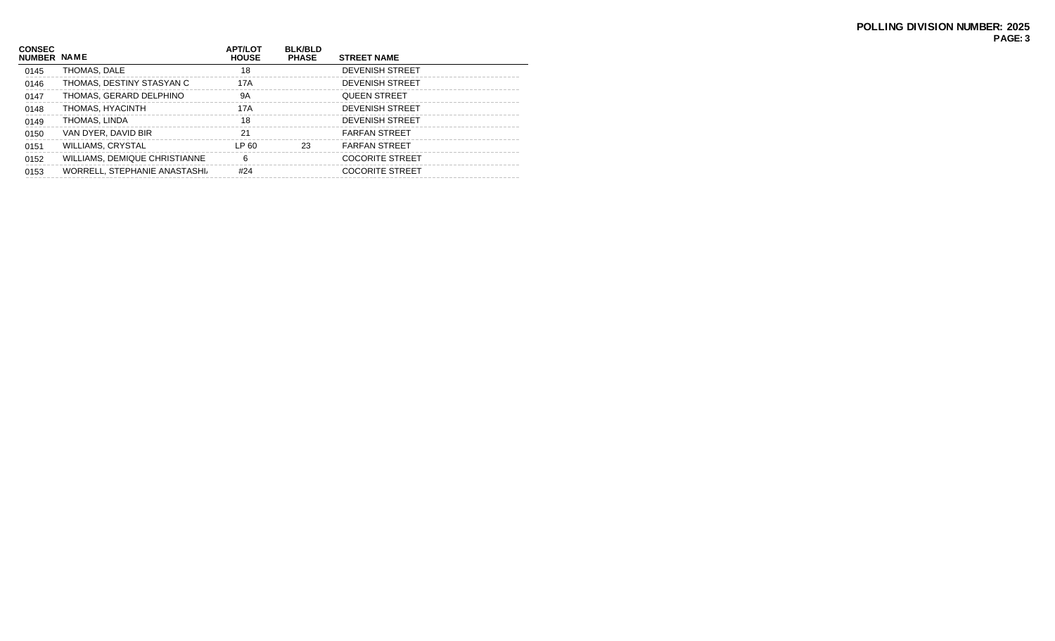| <b>CONSEC</b><br>NUMBER NAME |                               | <b>APT/LOT</b><br><b>HOUSE</b> | <b>BLK/BLD</b><br><b>PHASE</b> | <b>STREET NAME</b>     |
|------------------------------|-------------------------------|--------------------------------|--------------------------------|------------------------|
| 0145                         | THOMAS, DALE                  | 18                             |                                | <b>DEVENISH STREET</b> |
| 0146                         | THOMAS, DESTINY STASYAN C     | 17A                            |                                | <b>DEVENISH STREET</b> |
| 0147                         | THOMAS, GERARD DELPHINO       | 9A                             |                                | <b>QUEEN STREET</b>    |
| 0148                         | THOMAS, HYACINTH              | 17A                            |                                | <b>DEVENISH STREET</b> |
| 0149                         | THOMAS, LINDA                 | 18                             |                                | <b>DEVENISH STREET</b> |
| 0150                         | VAN DYER, DAVID BIR           | 21                             |                                | <b>FARFAN STREET</b>   |
| 0151                         | <b>WILLIAMS, CRYSTAL</b>      | LP 60                          | 23                             | <b>FARFAN STREET</b>   |
| 0152                         | WILLIAMS, DEMIQUE CHRISTIANNE | 6                              |                                | <b>COCORITE STREET</b> |
| 0153                         | WORRELL, STEPHANIE ANASTASHI, | #24                            |                                | <b>COCORITE STREET</b> |